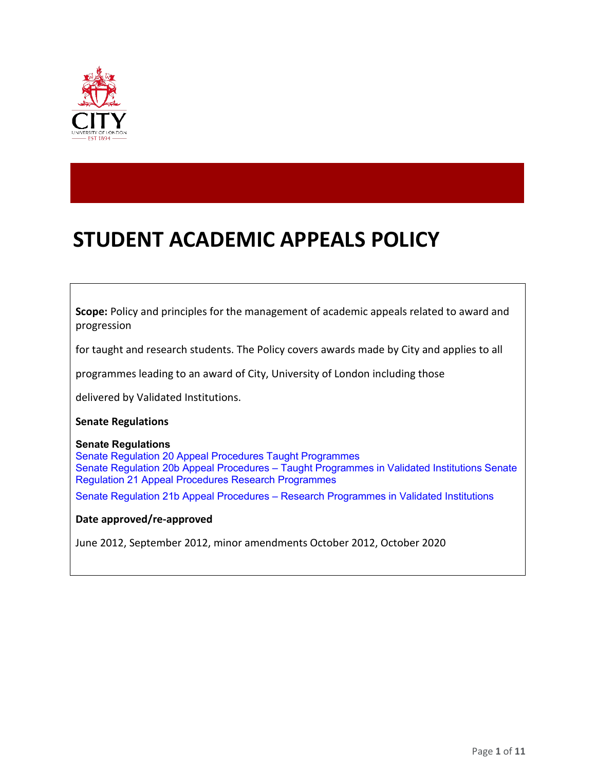

# **STUDENT ACADEMIC APPEALS POLICY**

**Scope:** Policy and principles for the management of academic appeals related to award and progression

for taught and research students. The Policy covers awards made by City and applies to all

programmes leading to an award of City, University of London including those

delivered by Validated Institutions.

#### **Senate Regulations**

#### **Senate Regulations**

Senate Regulation 20 Appeal Procedures Taught Programmes Senate Regulation 20b Appeal Procedures – Taught Programmes in Validated Institutions Senate Regulation 21 Appeal Procedures Research Programmes

Senate Regulation 21b Appeal Procedures – Research Programmes in Validated Institutions

#### **Date approved/re-approved**

June 2012, September 2012, minor amendments October 2012, October 2020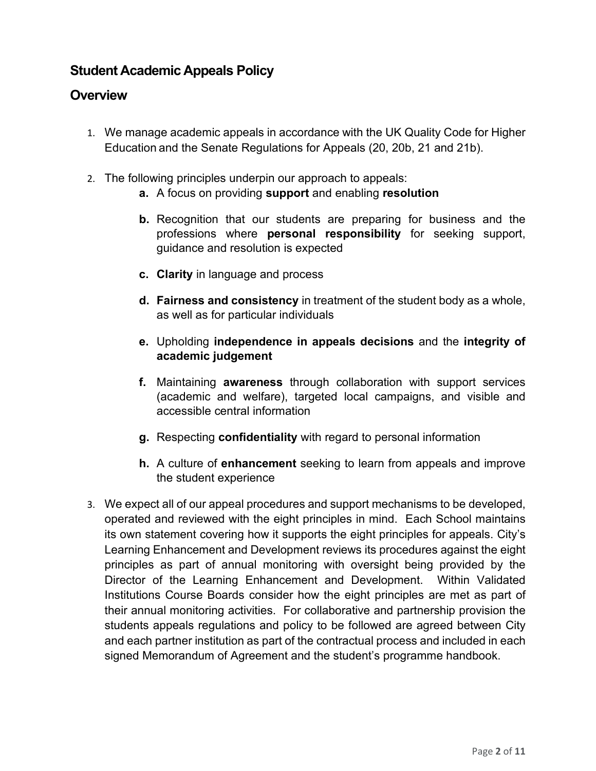# **Student Academic Appeals Policy**

# **Overview**

- 1. We manage academic appeals in accordance with the UK Quality Code for Higher Education and the Senate Regulations for Appeals (20, 20b, 21 and 21b).
- 2. The following principles underpin our approach to appeals:
	- **a.** A focus on providing **support** and enabling **resolution**
	- **b.** Recognition that our students are preparing for business and the professions where **personal responsibility** for seeking support, guidance and resolution is expected
	- **c. Clarity** in language and process
	- **d. Fairness and consistency** in treatment of the student body as a whole, as well as for particular individuals
	- **e.** Upholding **independence in appeals decisions** and the **integrity of academic judgement**
	- **f.** Maintaining **awareness** through collaboration with support services (academic and welfare), targeted local campaigns, and visible and accessible central information
	- **g.** Respecting **confidentiality** with regard to personal information
	- **h.** A culture of **enhancement** seeking to learn from appeals and improve the student experience
- 3. We expect all of our appeal procedures and support mechanisms to be developed, operated and reviewed with the eight principles in mind. Each School maintains its own statement covering how it supports the eight principles for appeals. City's Learning Enhancement and Development reviews its procedures against the eight principles as part of annual monitoring with oversight being provided by the Director of the Learning Enhancement and Development. Within Validated Institutions Course Boards consider how the eight principles are met as part of their annual monitoring activities. For collaborative and partnership provision the students appeals regulations and policy to be followed are agreed between City and each partner institution as part of the contractual process and included in each signed Memorandum of Agreement and the student's programme handbook.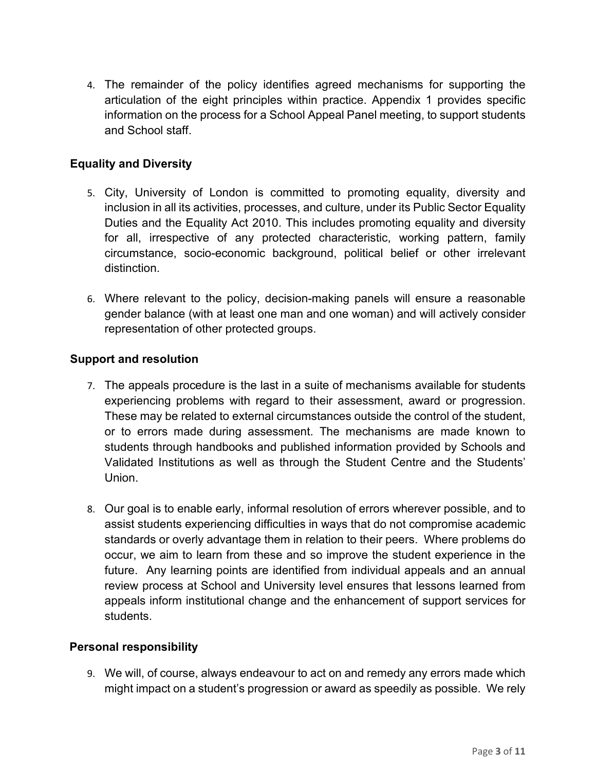4. The remainder of the policy identifies agreed mechanisms for supporting the articulation of the eight principles within practice. Appendix 1 provides specific information on the process for a School Appeal Panel meeting, to support students and School staff.

#### **Equality and Diversity**

- 5. City, University of London is committed to promoting equality, diversity and inclusion in all its activities, processes, and culture, under its Public Sector Equality Duties and the Equality Act 2010. This includes promoting equality and diversity for all, irrespective of any protected characteristic, working pattern, family circumstance, socio-economic background, political belief or other irrelevant distinction.
- 6. Where relevant to the policy, decision-making panels will ensure a reasonable gender balance (with at least one man and one woman) and will actively consider representation of other protected groups.

#### **Support and resolution**

- 7. The appeals procedure is the last in a suite of mechanisms available for students experiencing problems with regard to their assessment, award or progression. These may be related to external circumstances outside the control of the student, or to errors made during assessment. The mechanisms are made known to students through handbooks and published information provided by Schools and Validated Institutions as well as through the Student Centre and the Students' Union.
- 8. Our goal is to enable early, informal resolution of errors wherever possible, and to assist students experiencing difficulties in ways that do not compromise academic standards or overly advantage them in relation to their peers. Where problems do occur, we aim to learn from these and so improve the student experience in the future. Any learning points are identified from individual appeals and an annual review process at School and University level ensures that lessons learned from appeals inform institutional change and the enhancement of support services for students.

#### **Personal responsibility**

9. We will, of course, always endeavour to act on and remedy any errors made which might impact on a student's progression or award as speedily as possible. We rely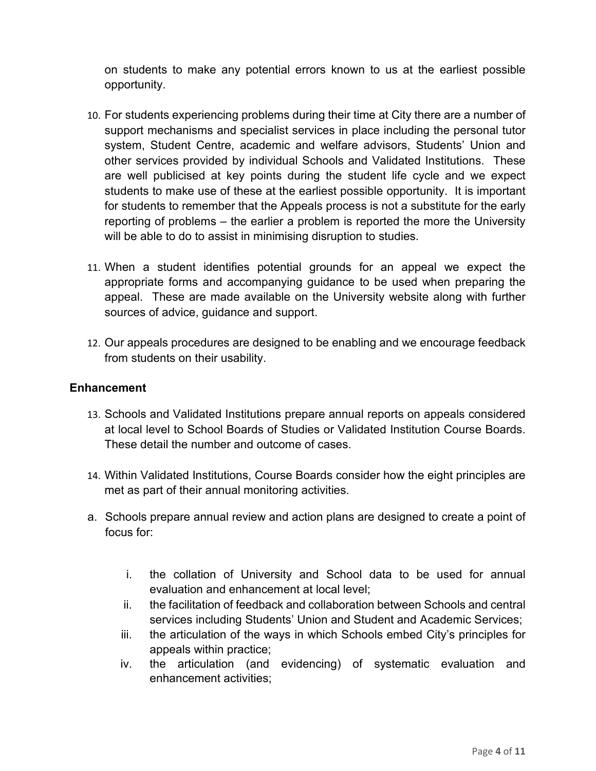on students to make any potential errors known to us at the earliest possible opportunity.

- 10. For students experiencing problems during their time at City there are a number of support mechanisms and specialist services in place including the personal tutor system, Student Centre, academic and welfare advisors, Students' Union and other services provided by individual Schools and Validated Institutions. These are well publicised at key points during the student life cycle and we expect students to make use of these at the earliest possible opportunity. It is important for students to remember that the Appeals process is not a substitute for the early reporting of problems – the earlier a problem is reported the more the University will be able to do to assist in minimising disruption to studies.
- 11. When a student identifies potential grounds for an appeal we expect the appropriate forms and accompanying guidance to be used when preparing the appeal. These are made available on the University website along with further sources of advice, guidance and support.
- 12. Our appeals procedures are designed to be enabling and we encourage feedback from students on their usability.

#### **Enhancement**

- 13. Schools and Validated Institutions prepare annual reports on appeals considered at local level to School Boards of Studies or Validated Institution Course Boards. These detail the number and outcome of cases.
- 14. Within Validated Institutions, Course Boards consider how the eight principles are met as part of their annual monitoring activities.
- a. Schools prepare annual review and action plans are designed to create a point of focus for:
	- i. the collation of University and School data to be used for annual evaluation and enhancement at local level;
	- ii. the facilitation of feedback and collaboration between Schools and central services including Students' Union and Student and Academic Services;
	- iii. the articulation of the ways in which Schools embed City's principles for appeals within practice;
	- iv. the articulation (and evidencing) of systematic evaluation and enhancement activities;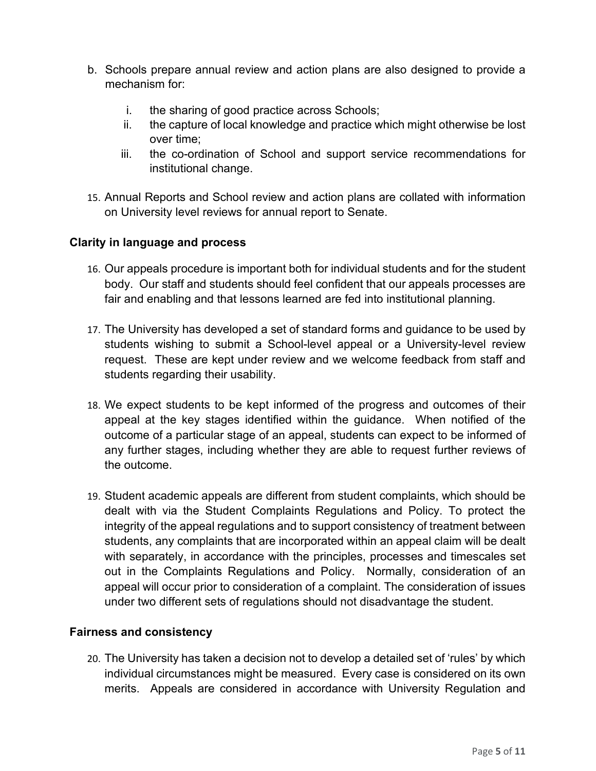- b. Schools prepare annual review and action plans are also designed to provide a mechanism for:
	- i. the sharing of good practice across Schools;
	- ii. the capture of local knowledge and practice which might otherwise be lost over time;
	- iii. the co-ordination of School and support service recommendations for institutional change.
- 15. Annual Reports and School review and action plans are collated with information on University level reviews for annual report to Senate.

#### **Clarity in language and process**

- 16. Our appeals procedure is important both for individual students and for the student body. Our staff and students should feel confident that our appeals processes are fair and enabling and that lessons learned are fed into institutional planning.
- 17. The University has developed a set of standard forms and guidance to be used by students wishing to submit a School-level appeal or a University-level review request. These are kept under review and we welcome feedback from staff and students regarding their usability.
- 18. We expect students to be kept informed of the progress and outcomes of their appeal at the key stages identified within the guidance. When notified of the outcome of a particular stage of an appeal, students can expect to be informed of any further stages, including whether they are able to request further reviews of the outcome.
- 19. Student academic appeals are different from student complaints, which should be dealt with via the Student Complaints Regulations and Policy. To protect the integrity of the appeal regulations and to support consistency of treatment between students, any complaints that are incorporated within an appeal claim will be dealt with separately, in accordance with the principles, processes and timescales set out in the Complaints Regulations and Policy. Normally, consideration of an appeal will occur prior to consideration of a complaint. The consideration of issues under two different sets of regulations should not disadvantage the student.

#### **Fairness and consistency**

20. The University has taken a decision not to develop a detailed set of 'rules' by which individual circumstances might be measured. Every case is considered on its own merits. Appeals are considered in accordance with University Regulation and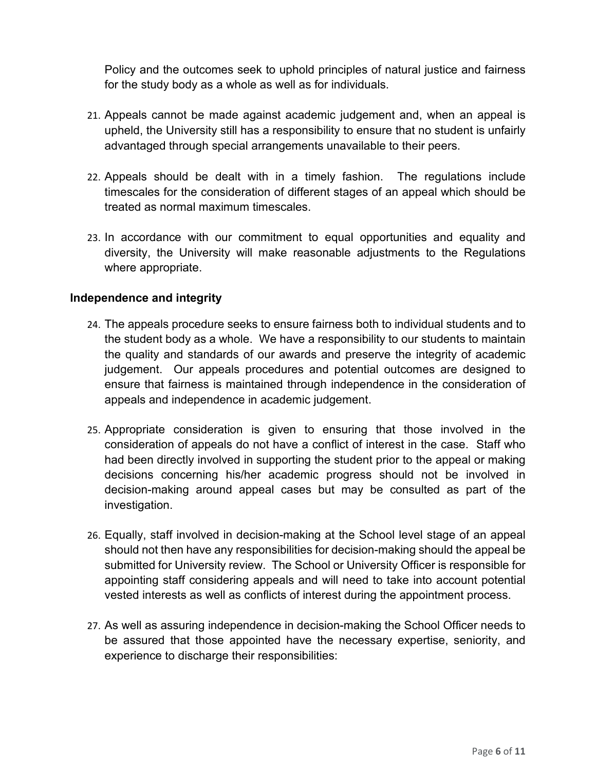Policy and the outcomes seek to uphold principles of natural justice and fairness for the study body as a whole as well as for individuals.

- 21. Appeals cannot be made against academic judgement and, when an appeal is upheld, the University still has a responsibility to ensure that no student is unfairly advantaged through special arrangements unavailable to their peers.
- 22. Appeals should be dealt with in a timely fashion. The regulations include timescales for the consideration of different stages of an appeal which should be treated as normal maximum timescales.
- 23. In accordance with our commitment to equal opportunities and equality and diversity, the University will make reasonable adjustments to the Regulations where appropriate.

#### **Independence and integrity**

- 24. The appeals procedure seeks to ensure fairness both to individual students and to the student body as a whole. We have a responsibility to our students to maintain the quality and standards of our awards and preserve the integrity of academic judgement. Our appeals procedures and potential outcomes are designed to ensure that fairness is maintained through independence in the consideration of appeals and independence in academic judgement.
- 25. Appropriate consideration is given to ensuring that those involved in the consideration of appeals do not have a conflict of interest in the case. Staff who had been directly involved in supporting the student prior to the appeal or making decisions concerning his/her academic progress should not be involved in decision-making around appeal cases but may be consulted as part of the investigation.
- 26. Equally, staff involved in decision-making at the School level stage of an appeal should not then have any responsibilities for decision-making should the appeal be submitted for University review. The School or University Officer is responsible for appointing staff considering appeals and will need to take into account potential vested interests as well as conflicts of interest during the appointment process.
- 27. As well as assuring independence in decision-making the School Officer needs to be assured that those appointed have the necessary expertise, seniority, and experience to discharge their responsibilities: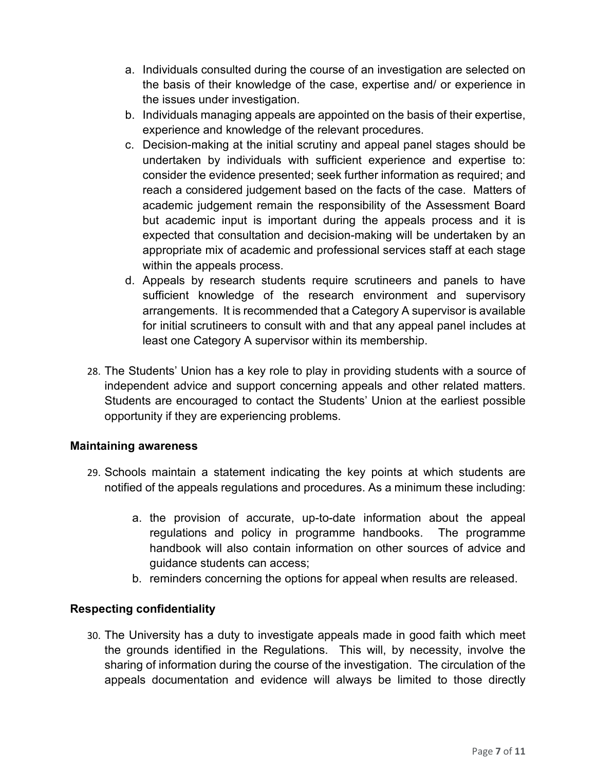- a. Individuals consulted during the course of an investigation are selected on the basis of their knowledge of the case, expertise and/ or experience in the issues under investigation.
- b. Individuals managing appeals are appointed on the basis of their expertise, experience and knowledge of the relevant procedures.
- c. Decision-making at the initial scrutiny and appeal panel stages should be undertaken by individuals with sufficient experience and expertise to: consider the evidence presented; seek further information as required; and reach a considered judgement based on the facts of the case. Matters of academic judgement remain the responsibility of the Assessment Board but academic input is important during the appeals process and it is expected that consultation and decision-making will be undertaken by an appropriate mix of academic and professional services staff at each stage within the appeals process.
- d. Appeals by research students require scrutineers and panels to have sufficient knowledge of the research environment and supervisory arrangements. It is recommended that a Category A supervisor is available for initial scrutineers to consult with and that any appeal panel includes at least one Category A supervisor within its membership.
- 28. The Students' Union has a key role to play in providing students with a source of independent advice and support concerning appeals and other related matters. Students are encouraged to contact the Students' Union at the earliest possible opportunity if they are experiencing problems.

#### **Maintaining awareness**

- 29. Schools maintain a statement indicating the key points at which students are notified of the appeals regulations and procedures. As a minimum these including:
	- a. the provision of accurate, up-to-date information about the appeal regulations and policy in programme handbooks. The programme handbook will also contain information on other sources of advice and guidance students can access;
	- b. reminders concerning the options for appeal when results are released.

#### **Respecting confidentiality**

30. The University has a duty to investigate appeals made in good faith which meet the grounds identified in the Regulations. This will, by necessity, involve the sharing of information during the course of the investigation. The circulation of the appeals documentation and evidence will always be limited to those directly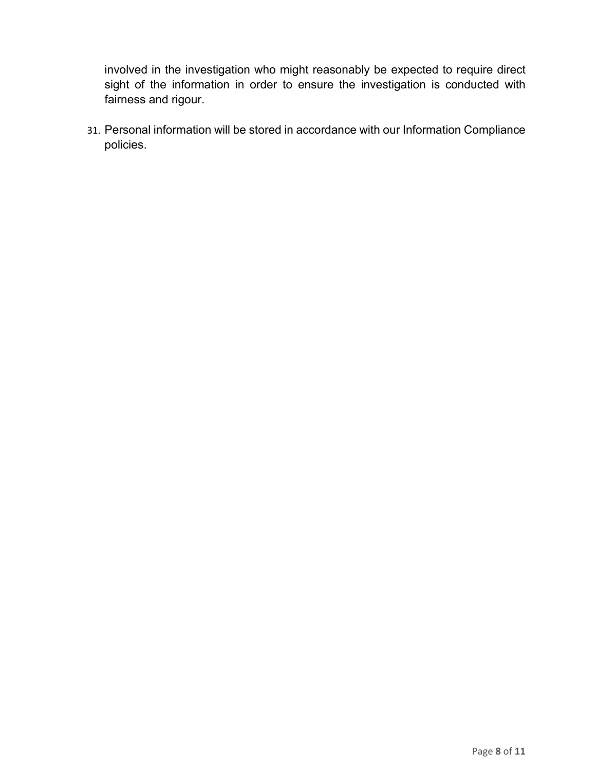involved in the investigation who might reasonably be expected to require direct sight of the information in order to ensure the investigation is conducted with fairness and rigour.

31. Personal information will be stored in accordance with our Information Compliance policies.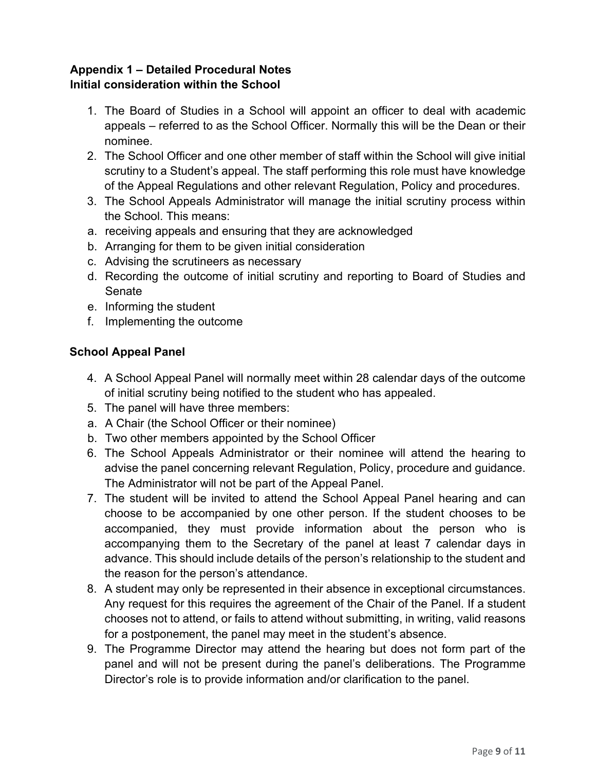### **Appendix 1 – Detailed Procedural Notes Initial consideration within the School**

- 1. The Board of Studies in a School will appoint an officer to deal with academic appeals – referred to as the School Officer. Normally this will be the Dean or their nominee.
- 2. The School Officer and one other member of staff within the School will give initial scrutiny to a Student's appeal. The staff performing this role must have knowledge of the Appeal Regulations and other relevant Regulation, Policy and procedures.
- 3. The School Appeals Administrator will manage the initial scrutiny process within the School. This means:
- a. receiving appeals and ensuring that they are acknowledged
- b. Arranging for them to be given initial consideration
- c. Advising the scrutineers as necessary
- d. Recording the outcome of initial scrutiny and reporting to Board of Studies and Senate
- e. Informing the student
- f. Implementing the outcome

#### **School Appeal Panel**

- 4. A School Appeal Panel will normally meet within 28 calendar days of the outcome of initial scrutiny being notified to the student who has appealed.
- 5. The panel will have three members:
- a. A Chair (the School Officer or their nominee)
- b. Two other members appointed by the School Officer
- 6. The School Appeals Administrator or their nominee will attend the hearing to advise the panel concerning relevant Regulation, Policy, procedure and guidance. The Administrator will not be part of the Appeal Panel.
- 7. The student will be invited to attend the School Appeal Panel hearing and can choose to be accompanied by one other person. If the student chooses to be accompanied, they must provide information about the person who is accompanying them to the Secretary of the panel at least 7 calendar days in advance. This should include details of the person's relationship to the student and the reason for the person's attendance.
- 8. A student may only be represented in their absence in exceptional circumstances. Any request for this requires the agreement of the Chair of the Panel. If a student chooses not to attend, or fails to attend without submitting, in writing, valid reasons for a postponement, the panel may meet in the student's absence.
- 9. The Programme Director may attend the hearing but does not form part of the panel and will not be present during the panel's deliberations. The Programme Director's role is to provide information and/or clarification to the panel.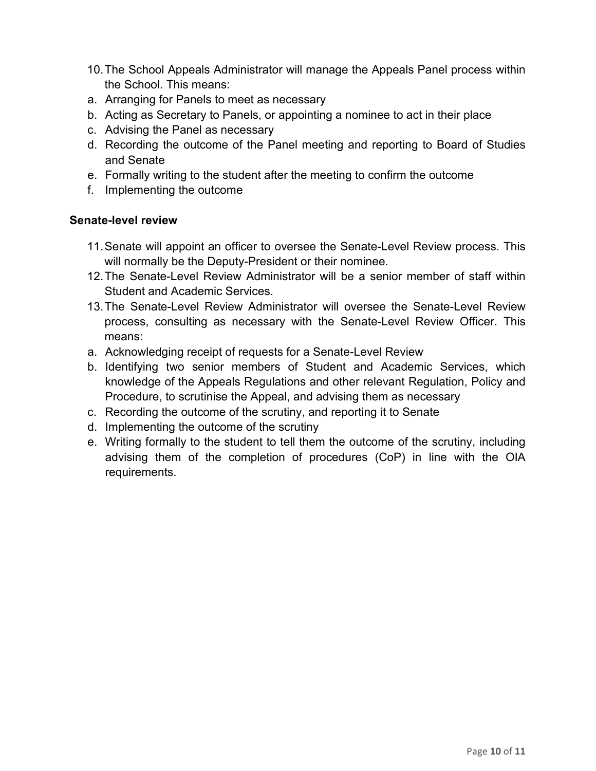- 10.The School Appeals Administrator will manage the Appeals Panel process within the School. This means:
- a. Arranging for Panels to meet as necessary
- b. Acting as Secretary to Panels, or appointing a nominee to act in their place
- c. Advising the Panel as necessary
- d. Recording the outcome of the Panel meeting and reporting to Board of Studies and Senate
- e. Formally writing to the student after the meeting to confirm the outcome
- f. Implementing the outcome

#### **Senate-level review**

- 11.Senate will appoint an officer to oversee the Senate-Level Review process. This will normally be the Deputy-President or their nominee.
- 12.The Senate-Level Review Administrator will be a senior member of staff within Student and Academic Services.
- 13.The Senate-Level Review Administrator will oversee the Senate-Level Review process, consulting as necessary with the Senate-Level Review Officer. This means:
- a. Acknowledging receipt of requests for a Senate-Level Review
- b. Identifying two senior members of Student and Academic Services, which knowledge of the Appeals Regulations and other relevant Regulation, Policy and Procedure, to scrutinise the Appeal, and advising them as necessary
- c. Recording the outcome of the scrutiny, and reporting it to Senate
- d. Implementing the outcome of the scrutiny
- e. Writing formally to the student to tell them the outcome of the scrutiny, including advising them of the completion of procedures (CoP) in line with the OIA requirements.